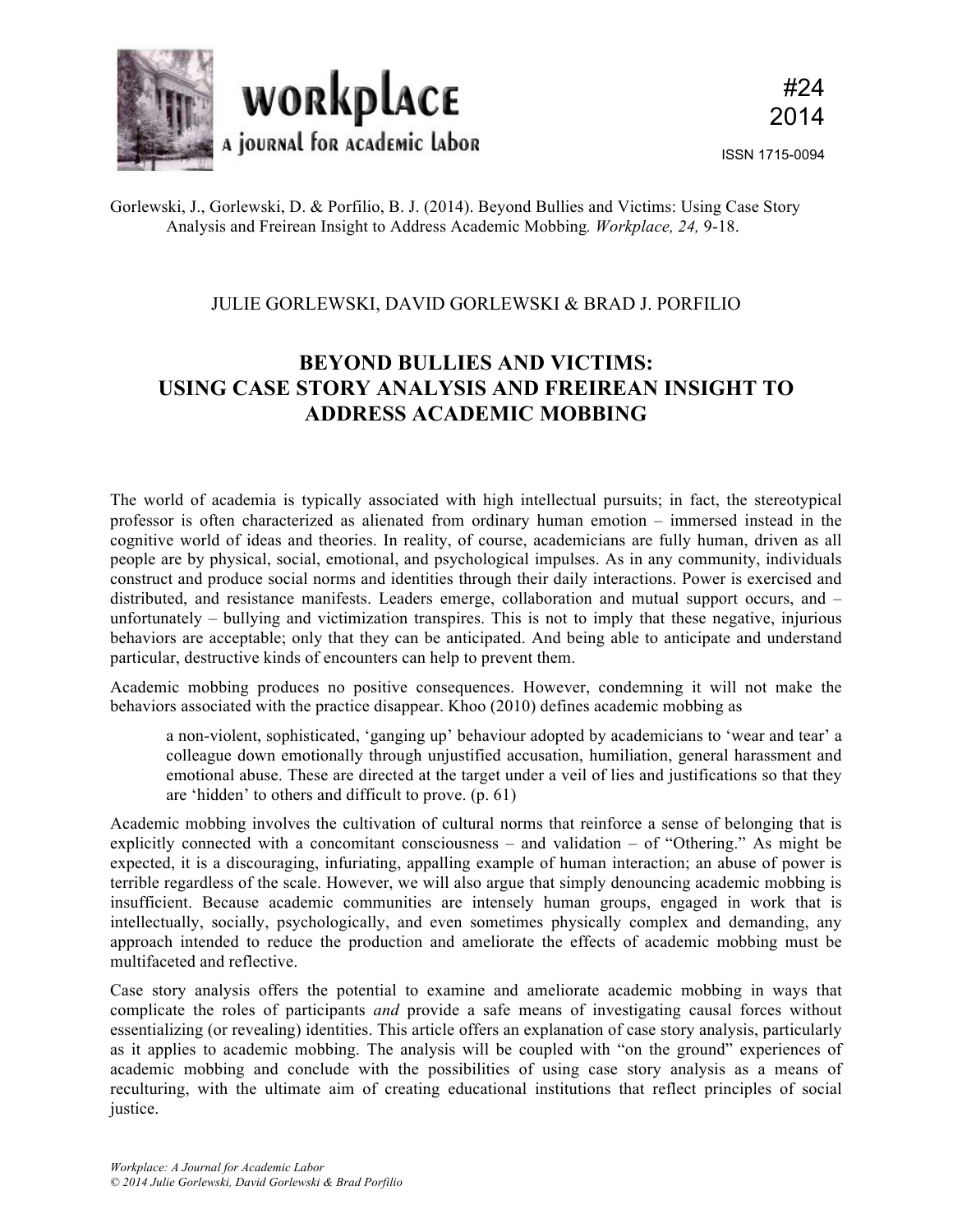

ISSN 1715-0094

## Gorlewski, J., Gorlewski, D. & Porfilio, B. J. (2014). Beyond Bullies and Victims: Using Case Story Analysis and Freirean Insight to Address Academic Mobbing*. Workplace, 24,* 9-18.

## JULIE GORLEWSKI, DAVID GORLEWSKI & BRAD J. PORFILIO

# **BEYOND BULLIES AND VICTIMS: USING CASE STORY ANALYSIS AND FREIREAN INSIGHT TO ADDRESS ACADEMIC MOBBING**

The world of academia is typically associated with high intellectual pursuits; in fact, the stereotypical professor is often characterized as alienated from ordinary human emotion – immersed instead in the cognitive world of ideas and theories. In reality, of course, academicians are fully human, driven as all people are by physical, social, emotional, and psychological impulses. As in any community, individuals construct and produce social norms and identities through their daily interactions. Power is exercised and distributed, and resistance manifests. Leaders emerge, collaboration and mutual support occurs, and – unfortunately – bullying and victimization transpires. This is not to imply that these negative, injurious behaviors are acceptable; only that they can be anticipated. And being able to anticipate and understand particular, destructive kinds of encounters can help to prevent them.

Academic mobbing produces no positive consequences. However, condemning it will not make the behaviors associated with the practice disappear. Khoo (2010) defines academic mobbing as

a non-violent, sophisticated, 'ganging up' behaviour adopted by academicians to 'wear and tear' a colleague down emotionally through unjustified accusation, humiliation, general harassment and emotional abuse. These are directed at the target under a veil of lies and justifications so that they are 'hidden' to others and difficult to prove. (p. 61)

Academic mobbing involves the cultivation of cultural norms that reinforce a sense of belonging that is explicitly connected with a concomitant consciousness – and validation – of "Othering." As might be expected, it is a discouraging, infuriating, appalling example of human interaction; an abuse of power is terrible regardless of the scale. However, we will also argue that simply denouncing academic mobbing is insufficient. Because academic communities are intensely human groups, engaged in work that is intellectually, socially, psychologically, and even sometimes physically complex and demanding, any approach intended to reduce the production and ameliorate the effects of academic mobbing must be multifaceted and reflective.

Case story analysis offers the potential to examine and ameliorate academic mobbing in ways that complicate the roles of participants *and* provide a safe means of investigating causal forces without essentializing (or revealing) identities. This article offers an explanation of case story analysis, particularly as it applies to academic mobbing. The analysis will be coupled with "on the ground" experiences of academic mobbing and conclude with the possibilities of using case story analysis as a means of reculturing, with the ultimate aim of creating educational institutions that reflect principles of social justice.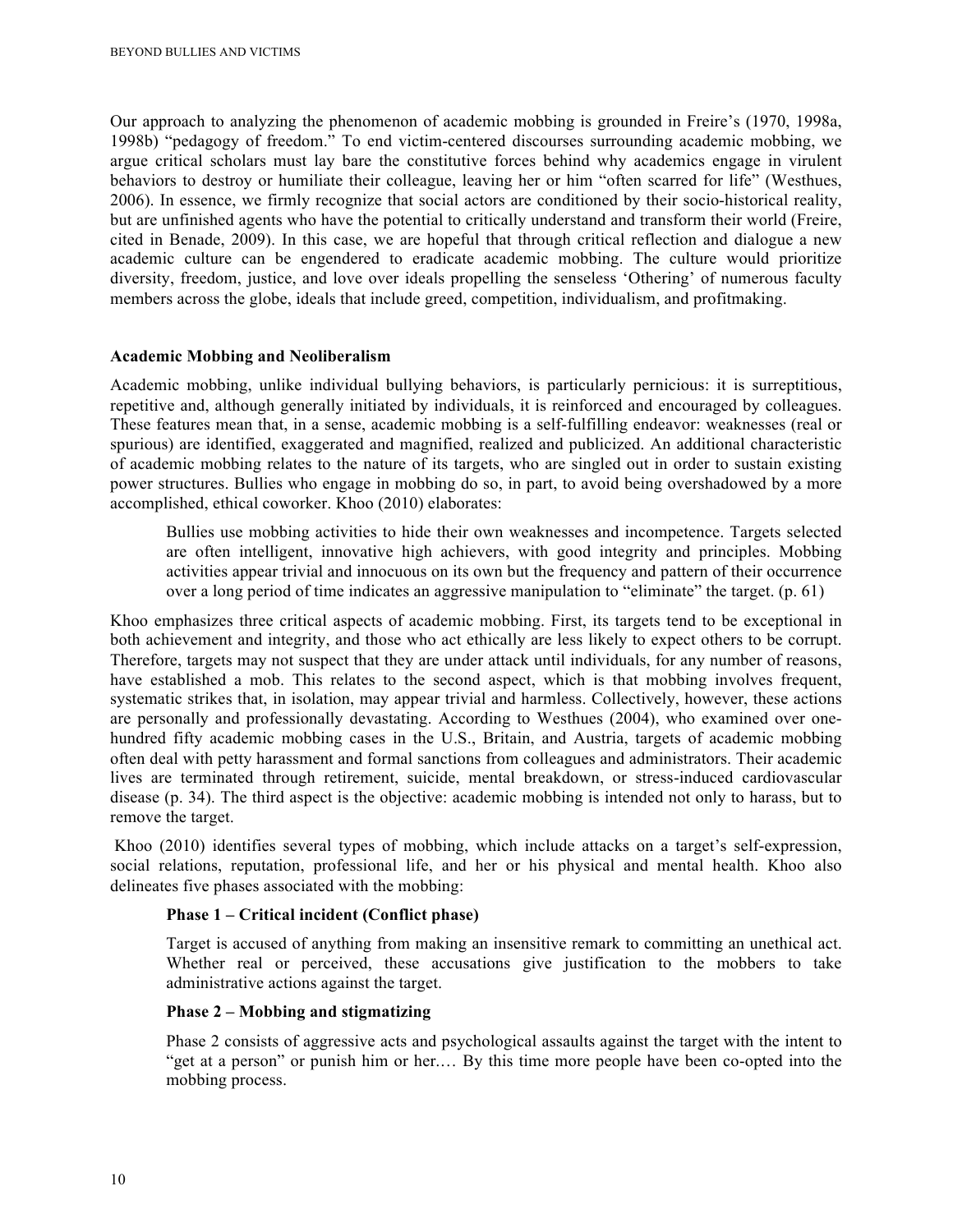Our approach to analyzing the phenomenon of academic mobbing is grounded in Freire's (1970, 1998a, 1998b) "pedagogy of freedom." To end victim-centered discourses surrounding academic mobbing, we argue critical scholars must lay bare the constitutive forces behind why academics engage in virulent behaviors to destroy or humiliate their colleague, leaving her or him "often scarred for life" (Westhues, 2006). In essence, we firmly recognize that social actors are conditioned by their socio-historical reality, but are unfinished agents who have the potential to critically understand and transform their world (Freire, cited in Benade, 2009). In this case, we are hopeful that through critical reflection and dialogue a new academic culture can be engendered to eradicate academic mobbing. The culture would prioritize diversity, freedom, justice, and love over ideals propelling the senseless 'Othering' of numerous faculty members across the globe, ideals that include greed, competition, individualism, and profitmaking.

#### **Academic Mobbing and Neoliberalism**

Academic mobbing, unlike individual bullying behaviors, is particularly pernicious: it is surreptitious, repetitive and, although generally initiated by individuals, it is reinforced and encouraged by colleagues. These features mean that, in a sense, academic mobbing is a self-fulfilling endeavor: weaknesses (real or spurious) are identified, exaggerated and magnified, realized and publicized. An additional characteristic of academic mobbing relates to the nature of its targets, who are singled out in order to sustain existing power structures. Bullies who engage in mobbing do so, in part, to avoid being overshadowed by a more accomplished, ethical coworker. Khoo (2010) elaborates:

Bullies use mobbing activities to hide their own weaknesses and incompetence. Targets selected are often intelligent, innovative high achievers, with good integrity and principles. Mobbing activities appear trivial and innocuous on its own but the frequency and pattern of their occurrence over a long period of time indicates an aggressive manipulation to "eliminate" the target. (p. 61)

Khoo emphasizes three critical aspects of academic mobbing. First, its targets tend to be exceptional in both achievement and integrity, and those who act ethically are less likely to expect others to be corrupt. Therefore, targets may not suspect that they are under attack until individuals, for any number of reasons, have established a mob. This relates to the second aspect, which is that mobbing involves frequent, systematic strikes that, in isolation, may appear trivial and harmless. Collectively, however, these actions are personally and professionally devastating. According to Westhues (2004), who examined over onehundred fifty academic mobbing cases in the U.S., Britain, and Austria, targets of academic mobbing often deal with petty harassment and formal sanctions from colleagues and administrators. Their academic lives are terminated through retirement, suicide, mental breakdown, or stress-induced cardiovascular disease (p. 34). The third aspect is the objective: academic mobbing is intended not only to harass, but to remove the target.

Khoo (2010) identifies several types of mobbing, which include attacks on a target's self-expression, social relations, reputation, professional life, and her or his physical and mental health. Khoo also delineates five phases associated with the mobbing:

#### **Phase 1 – Critical incident (Conflict phase)**

Target is accused of anything from making an insensitive remark to committing an unethical act. Whether real or perceived, these accusations give justification to the mobbers to take administrative actions against the target.

#### **Phase 2 – Mobbing and stigmatizing**

Phase 2 consists of aggressive acts and psychological assaults against the target with the intent to "get at a person" or punish him or her.… By this time more people have been co-opted into the mobbing process.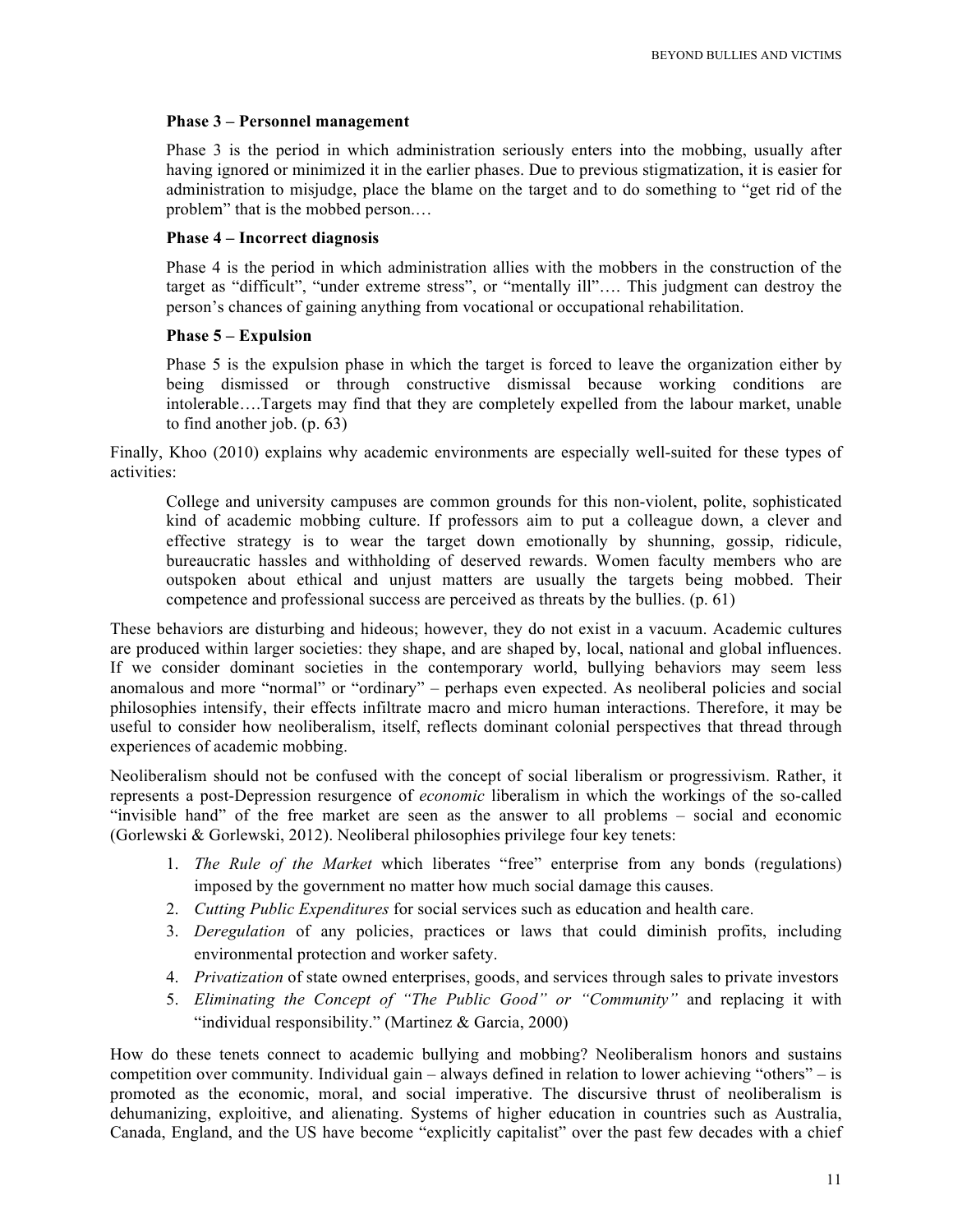#### **Phase 3 – Personnel management**

Phase 3 is the period in which administration seriously enters into the mobbing, usually after having ignored or minimized it in the earlier phases. Due to previous stigmatization, it is easier for administration to misjudge, place the blame on the target and to do something to "get rid of the problem" that is the mobbed person.…

#### **Phase 4 – Incorrect diagnosis**

Phase 4 is the period in which administration allies with the mobbers in the construction of the target as "difficult", "under extreme stress", or "mentally ill"…. This judgment can destroy the person's chances of gaining anything from vocational or occupational rehabilitation.

#### **Phase 5 – Expulsion**

Phase 5 is the expulsion phase in which the target is forced to leave the organization either by being dismissed or through constructive dismissal because working conditions are intolerable….Targets may find that they are completely expelled from the labour market, unable to find another job. (p. 63)

Finally, Khoo (2010) explains why academic environments are especially well-suited for these types of activities:

College and university campuses are common grounds for this non-violent, polite, sophisticated kind of academic mobbing culture. If professors aim to put a colleague down, a clever and effective strategy is to wear the target down emotionally by shunning, gossip, ridicule, bureaucratic hassles and withholding of deserved rewards. Women faculty members who are outspoken about ethical and unjust matters are usually the targets being mobbed. Their competence and professional success are perceived as threats by the bullies. (p. 61)

These behaviors are disturbing and hideous; however, they do not exist in a vacuum. Academic cultures are produced within larger societies: they shape, and are shaped by, local, national and global influences. If we consider dominant societies in the contemporary world, bullying behaviors may seem less anomalous and more "normal" or "ordinary" – perhaps even expected. As neoliberal policies and social philosophies intensify, their effects infiltrate macro and micro human interactions. Therefore, it may be useful to consider how neoliberalism, itself, reflects dominant colonial perspectives that thread through experiences of academic mobbing.

Neoliberalism should not be confused with the concept of social liberalism or progressivism. Rather, it represents a post-Depression resurgence of *economic* liberalism in which the workings of the so-called "invisible hand" of the free market are seen as the answer to all problems – social and economic (Gorlewski & Gorlewski, 2012). Neoliberal philosophies privilege four key tenets:

- 1. *The Rule of the Market* which liberates "free" enterprise from any bonds (regulations) imposed by the government no matter how much social damage this causes.
- 2. *Cutting Public Expenditures* for social services such as education and health care.
- 3. *Deregulation* of any policies, practices or laws that could diminish profits, including environmental protection and worker safety.
- 4. *Privatization* of state owned enterprises, goods, and services through sales to private investors
- 5. *Eliminating the Concept of "The Public Good" or "Community"* and replacing it with "individual responsibility." (Martinez & Garcia, 2000)

How do these tenets connect to academic bullying and mobbing? Neoliberalism honors and sustains competition over community. Individual gain – always defined in relation to lower achieving "others" – is promoted as the economic, moral, and social imperative. The discursive thrust of neoliberalism is dehumanizing, exploitive, and alienating. Systems of higher education in countries such as Australia, Canada, England, and the US have become "explicitly capitalist" over the past few decades with a chief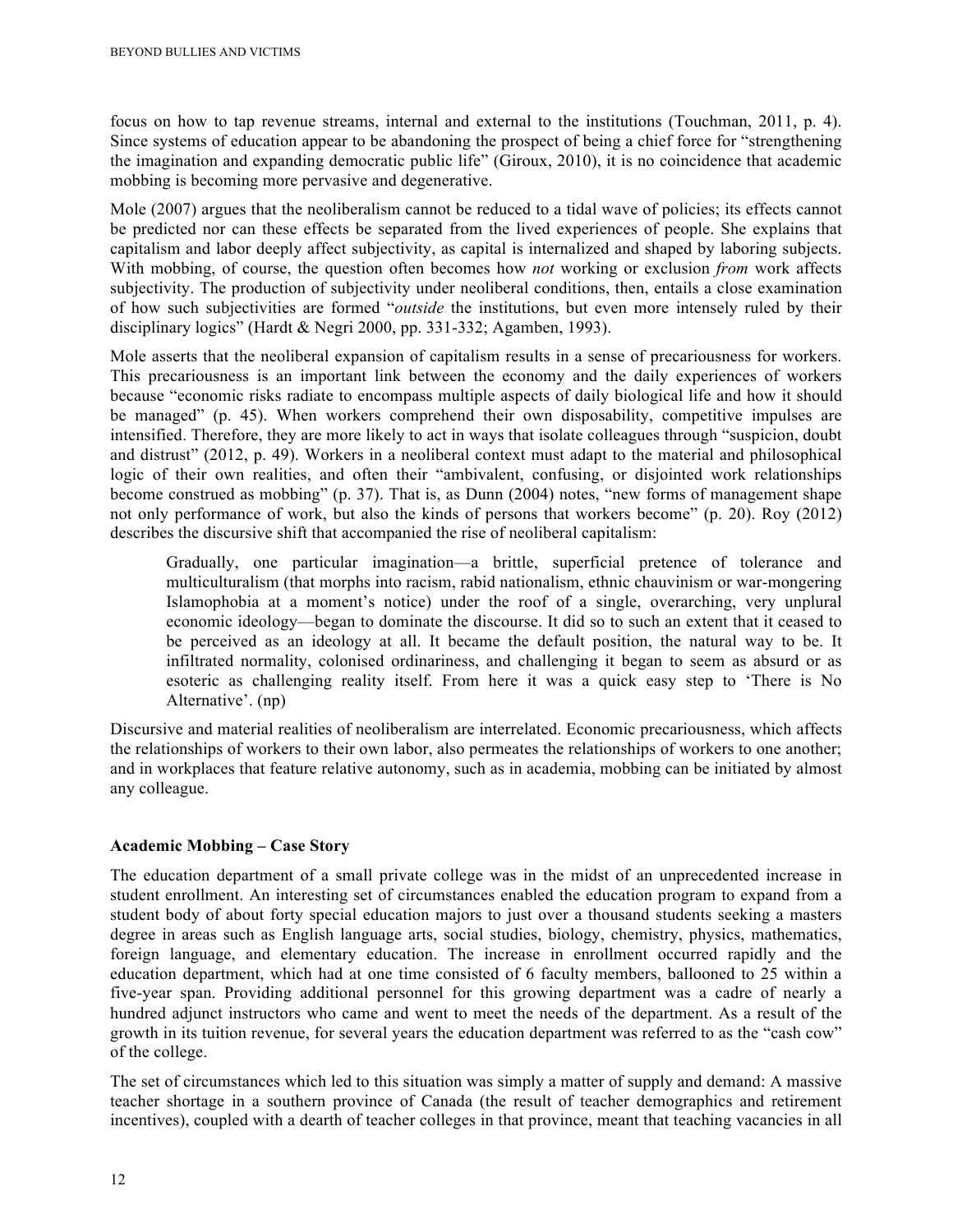focus on how to tap revenue streams, internal and external to the institutions (Touchman, 2011, p. 4). Since systems of education appear to be abandoning the prospect of being a chief force for "strengthening the imagination and expanding democratic public life" (Giroux, 2010), it is no coincidence that academic mobbing is becoming more pervasive and degenerative.

Mole (2007) argues that the neoliberalism cannot be reduced to a tidal wave of policies; its effects cannot be predicted nor can these effects be separated from the lived experiences of people. She explains that capitalism and labor deeply affect subjectivity, as capital is internalized and shaped by laboring subjects. With mobbing, of course, the question often becomes how *not* working or exclusion *from* work affects subjectivity. The production of subjectivity under neoliberal conditions, then, entails a close examination of how such subjectivities are formed "*outside* the institutions, but even more intensely ruled by their disciplinary logics" (Hardt & Negri 2000, pp. 331-332; Agamben, 1993).

Mole asserts that the neoliberal expansion of capitalism results in a sense of precariousness for workers. This precariousness is an important link between the economy and the daily experiences of workers because "economic risks radiate to encompass multiple aspects of daily biological life and how it should be managed" (p. 45). When workers comprehend their own disposability, competitive impulses are intensified. Therefore, they are more likely to act in ways that isolate colleagues through "suspicion, doubt and distrust" (2012, p. 49). Workers in a neoliberal context must adapt to the material and philosophical logic of their own realities, and often their "ambivalent, confusing, or disjointed work relationships become construed as mobbing" (p. 37). That is, as Dunn (2004) notes, "new forms of management shape not only performance of work, but also the kinds of persons that workers become" (p. 20). Roy (2012) describes the discursive shift that accompanied the rise of neoliberal capitalism:

Gradually, one particular imagination—a brittle, superficial pretence of tolerance and multiculturalism (that morphs into racism, rabid nationalism, ethnic chauvinism or war-mongering Islamophobia at a moment's notice) under the roof of a single, overarching, very unplural economic ideology—began to dominate the discourse. It did so to such an extent that it ceased to be perceived as an ideology at all. It became the default position, the natural way to be. It infiltrated normality, colonised ordinariness, and challenging it began to seem as absurd or as esoteric as challenging reality itself. From here it was a quick easy step to 'There is No Alternative'. (np)

Discursive and material realities of neoliberalism are interrelated. Economic precariousness, which affects the relationships of workers to their own labor, also permeates the relationships of workers to one another; and in workplaces that feature relative autonomy, such as in academia, mobbing can be initiated by almost any colleague.

### **Academic Mobbing – Case Story**

The education department of a small private college was in the midst of an unprecedented increase in student enrollment. An interesting set of circumstances enabled the education program to expand from a student body of about forty special education majors to just over a thousand students seeking a masters degree in areas such as English language arts, social studies, biology, chemistry, physics, mathematics, foreign language, and elementary education. The increase in enrollment occurred rapidly and the education department, which had at one time consisted of 6 faculty members, ballooned to 25 within a five-year span. Providing additional personnel for this growing department was a cadre of nearly a hundred adjunct instructors who came and went to meet the needs of the department. As a result of the growth in its tuition revenue, for several years the education department was referred to as the "cash cow" of the college.

The set of circumstances which led to this situation was simply a matter of supply and demand: A massive teacher shortage in a southern province of Canada (the result of teacher demographics and retirement incentives), coupled with a dearth of teacher colleges in that province, meant that teaching vacancies in all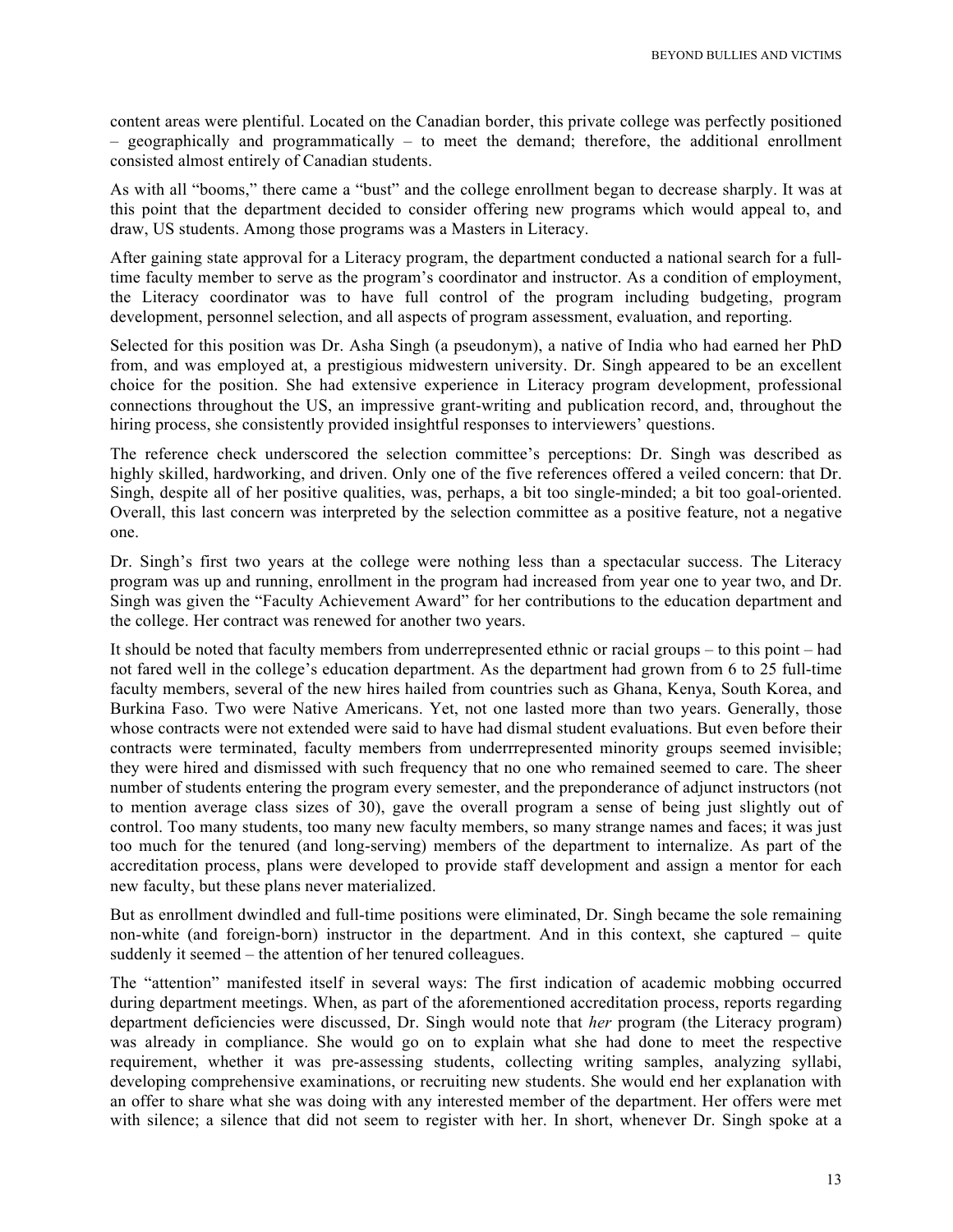content areas were plentiful. Located on the Canadian border, this private college was perfectly positioned  $-$  geographically and programmatically  $-$  to meet the demand; therefore, the additional enrollment consisted almost entirely of Canadian students.

As with all "booms," there came a "bust" and the college enrollment began to decrease sharply. It was at this point that the department decided to consider offering new programs which would appeal to, and draw, US students. Among those programs was a Masters in Literacy.

After gaining state approval for a Literacy program, the department conducted a national search for a fulltime faculty member to serve as the program's coordinator and instructor. As a condition of employment, the Literacy coordinator was to have full control of the program including budgeting, program development, personnel selection, and all aspects of program assessment, evaluation, and reporting.

Selected for this position was Dr. Asha Singh (a pseudonym), a native of India who had earned her PhD from, and was employed at, a prestigious midwestern university. Dr. Singh appeared to be an excellent choice for the position. She had extensive experience in Literacy program development, professional connections throughout the US, an impressive grant-writing and publication record, and, throughout the hiring process, she consistently provided insightful responses to interviewers' questions.

The reference check underscored the selection committee's perceptions: Dr. Singh was described as highly skilled, hardworking, and driven. Only one of the five references offered a veiled concern: that Dr. Singh, despite all of her positive qualities, was, perhaps, a bit too single-minded; a bit too goal-oriented. Overall, this last concern was interpreted by the selection committee as a positive feature, not a negative one.

Dr. Singh's first two years at the college were nothing less than a spectacular success. The Literacy program was up and running, enrollment in the program had increased from year one to year two, and Dr. Singh was given the "Faculty Achievement Award" for her contributions to the education department and the college. Her contract was renewed for another two years.

It should be noted that faculty members from underrepresented ethnic or racial groups – to this point – had not fared well in the college's education department. As the department had grown from 6 to 25 full-time faculty members, several of the new hires hailed from countries such as Ghana, Kenya, South Korea, and Burkina Faso. Two were Native Americans. Yet, not one lasted more than two years. Generally, those whose contracts were not extended were said to have had dismal student evaluations. But even before their contracts were terminated, faculty members from underrrepresented minority groups seemed invisible; they were hired and dismissed with such frequency that no one who remained seemed to care. The sheer number of students entering the program every semester, and the preponderance of adjunct instructors (not to mention average class sizes of 30), gave the overall program a sense of being just slightly out of control. Too many students, too many new faculty members, so many strange names and faces; it was just too much for the tenured (and long-serving) members of the department to internalize. As part of the accreditation process, plans were developed to provide staff development and assign a mentor for each new faculty, but these plans never materialized.

But as enrollment dwindled and full-time positions were eliminated, Dr. Singh became the sole remaining non-white (and foreign-born) instructor in the department. And in this context, she captured – quite suddenly it seemed – the attention of her tenured colleagues.

The "attention" manifested itself in several ways: The first indication of academic mobbing occurred during department meetings. When, as part of the aforementioned accreditation process, reports regarding department deficiencies were discussed, Dr. Singh would note that *her* program (the Literacy program) was already in compliance. She would go on to explain what she had done to meet the respective requirement, whether it was pre-assessing students, collecting writing samples, analyzing syllabi, developing comprehensive examinations, or recruiting new students. She would end her explanation with an offer to share what she was doing with any interested member of the department. Her offers were met with silence; a silence that did not seem to register with her. In short, whenever Dr. Singh spoke at a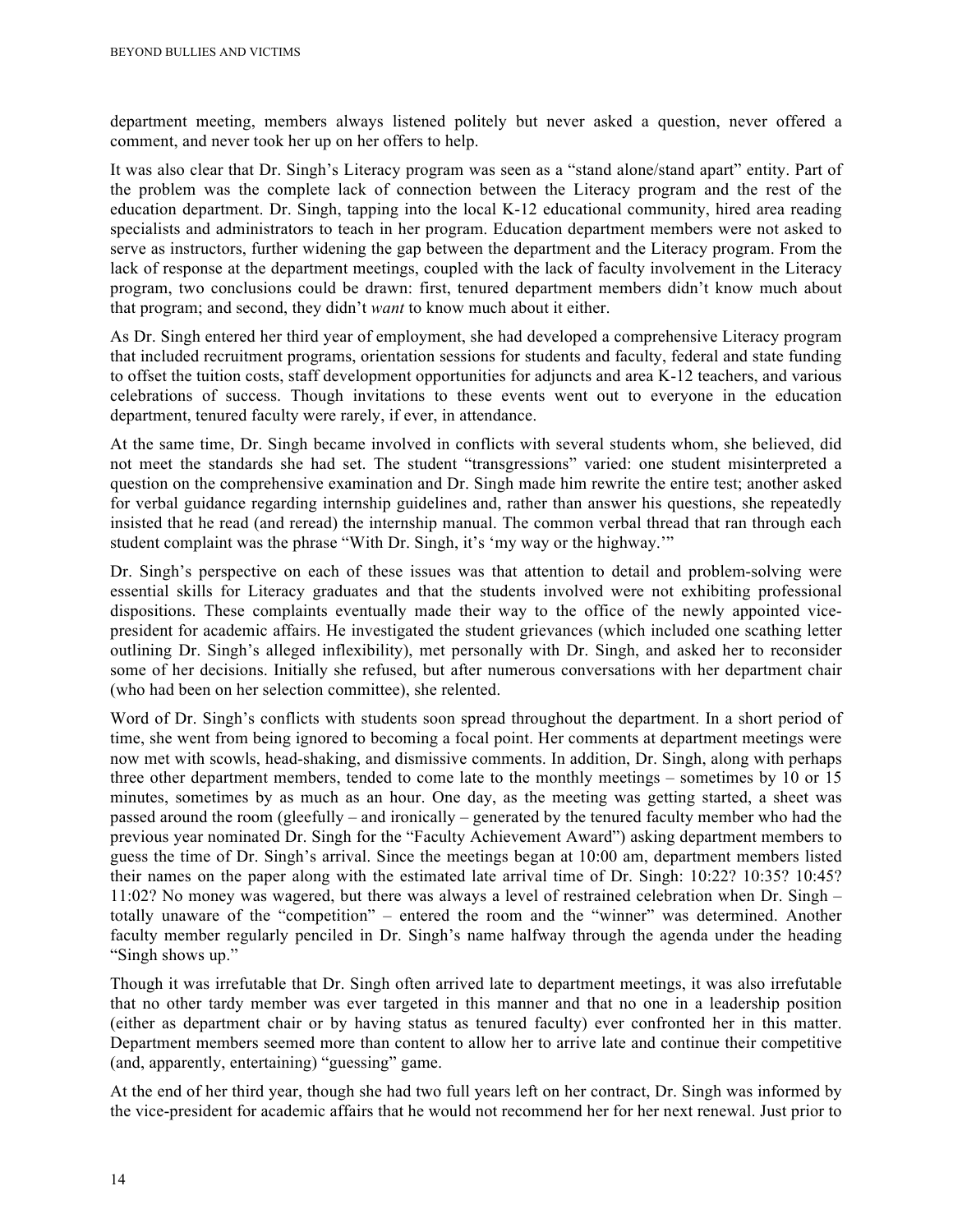department meeting, members always listened politely but never asked a question, never offered a comment, and never took her up on her offers to help.

It was also clear that Dr. Singh's Literacy program was seen as a "stand alone/stand apart" entity. Part of the problem was the complete lack of connection between the Literacy program and the rest of the education department. Dr. Singh, tapping into the local K-12 educational community, hired area reading specialists and administrators to teach in her program. Education department members were not asked to serve as instructors, further widening the gap between the department and the Literacy program. From the lack of response at the department meetings, coupled with the lack of faculty involvement in the Literacy program, two conclusions could be drawn: first, tenured department members didn't know much about that program; and second, they didn't *want* to know much about it either.

As Dr. Singh entered her third year of employment, she had developed a comprehensive Literacy program that included recruitment programs, orientation sessions for students and faculty, federal and state funding to offset the tuition costs, staff development opportunities for adjuncts and area K-12 teachers, and various celebrations of success. Though invitations to these events went out to everyone in the education department, tenured faculty were rarely, if ever, in attendance.

At the same time, Dr. Singh became involved in conflicts with several students whom, she believed, did not meet the standards she had set. The student "transgressions" varied: one student misinterpreted a question on the comprehensive examination and Dr. Singh made him rewrite the entire test; another asked for verbal guidance regarding internship guidelines and, rather than answer his questions, she repeatedly insisted that he read (and reread) the internship manual. The common verbal thread that ran through each student complaint was the phrase "With Dr. Singh, it's 'my way or the highway.'"

Dr. Singh's perspective on each of these issues was that attention to detail and problem-solving were essential skills for Literacy graduates and that the students involved were not exhibiting professional dispositions. These complaints eventually made their way to the office of the newly appointed vicepresident for academic affairs. He investigated the student grievances (which included one scathing letter outlining Dr. Singh's alleged inflexibility), met personally with Dr. Singh, and asked her to reconsider some of her decisions. Initially she refused, but after numerous conversations with her department chair (who had been on her selection committee), she relented.

Word of Dr. Singh's conflicts with students soon spread throughout the department. In a short period of time, she went from being ignored to becoming a focal point. Her comments at department meetings were now met with scowls, head-shaking, and dismissive comments. In addition, Dr. Singh, along with perhaps three other department members, tended to come late to the monthly meetings – sometimes by 10 or 15 minutes, sometimes by as much as an hour. One day, as the meeting was getting started, a sheet was passed around the room (gleefully – and ironically – generated by the tenured faculty member who had the previous year nominated Dr. Singh for the "Faculty Achievement Award") asking department members to guess the time of Dr. Singh's arrival. Since the meetings began at 10:00 am, department members listed their names on the paper along with the estimated late arrival time of Dr. Singh: 10:22? 10:35? 10:45? 11:02? No money was wagered, but there was always a level of restrained celebration when Dr. Singh – totally unaware of the "competition" – entered the room and the "winner" was determined. Another faculty member regularly penciled in Dr. Singh's name halfway through the agenda under the heading "Singh shows up."

Though it was irrefutable that Dr. Singh often arrived late to department meetings, it was also irrefutable that no other tardy member was ever targeted in this manner and that no one in a leadership position (either as department chair or by having status as tenured faculty) ever confronted her in this matter. Department members seemed more than content to allow her to arrive late and continue their competitive (and, apparently, entertaining) "guessing" game.

At the end of her third year, though she had two full years left on her contract, Dr. Singh was informed by the vice-president for academic affairs that he would not recommend her for her next renewal. Just prior to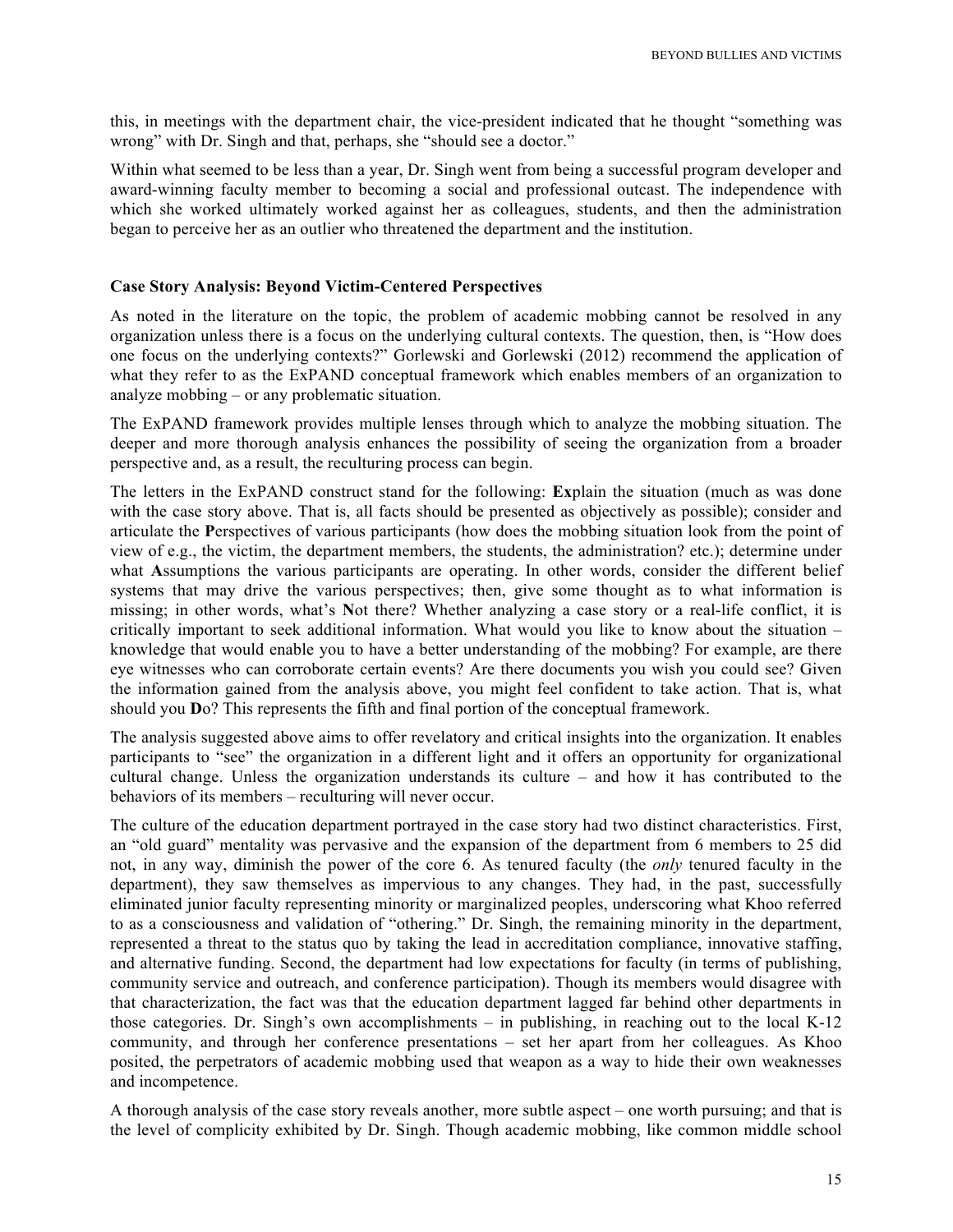this, in meetings with the department chair, the vice-president indicated that he thought "something was wrong" with Dr. Singh and that, perhaps, she "should see a doctor."

Within what seemed to be less than a year, Dr. Singh went from being a successful program developer and award-winning faculty member to becoming a social and professional outcast. The independence with which she worked ultimately worked against her as colleagues, students, and then the administration began to perceive her as an outlier who threatened the department and the institution.

#### **Case Story Analysis: Beyond Victim-Centered Perspectives**

As noted in the literature on the topic, the problem of academic mobbing cannot be resolved in any organization unless there is a focus on the underlying cultural contexts. The question, then, is "How does one focus on the underlying contexts?" Gorlewski and Gorlewski (2012) recommend the application of what they refer to as the ExPAND conceptual framework which enables members of an organization to analyze mobbing – or any problematic situation.

The ExPAND framework provides multiple lenses through which to analyze the mobbing situation. The deeper and more thorough analysis enhances the possibility of seeing the organization from a broader perspective and, as a result, the reculturing process can begin.

The letters in the ExPAND construct stand for the following: **Ex**plain the situation (much as was done with the case story above. That is, all facts should be presented as objectively as possible); consider and articulate the **P**erspectives of various participants (how does the mobbing situation look from the point of view of e.g., the victim, the department members, the students, the administration? etc.); determine under what **A**ssumptions the various participants are operating. In other words, consider the different belief systems that may drive the various perspectives; then, give some thought as to what information is missing; in other words, what's **N**ot there? Whether analyzing a case story or a real-life conflict, it is critically important to seek additional information. What would you like to know about the situation – knowledge that would enable you to have a better understanding of the mobbing? For example, are there eye witnesses who can corroborate certain events? Are there documents you wish you could see? Given the information gained from the analysis above, you might feel confident to take action. That is, what should you **D**o? This represents the fifth and final portion of the conceptual framework.

The analysis suggested above aims to offer revelatory and critical insights into the organization. It enables participants to "see" the organization in a different light and it offers an opportunity for organizational cultural change. Unless the organization understands its culture – and how it has contributed to the behaviors of its members – reculturing will never occur.

The culture of the education department portrayed in the case story had two distinct characteristics. First, an "old guard" mentality was pervasive and the expansion of the department from 6 members to 25 did not, in any way, diminish the power of the core 6. As tenured faculty (the *only* tenured faculty in the department), they saw themselves as impervious to any changes. They had, in the past, successfully eliminated junior faculty representing minority or marginalized peoples, underscoring what Khoo referred to as a consciousness and validation of "othering." Dr. Singh, the remaining minority in the department, represented a threat to the status quo by taking the lead in accreditation compliance, innovative staffing, and alternative funding. Second, the department had low expectations for faculty (in terms of publishing, community service and outreach, and conference participation). Though its members would disagree with that characterization, the fact was that the education department lagged far behind other departments in those categories. Dr. Singh's own accomplishments – in publishing, in reaching out to the local K-12 community, and through her conference presentations – set her apart from her colleagues. As Khoo posited, the perpetrators of academic mobbing used that weapon as a way to hide their own weaknesses and incompetence.

A thorough analysis of the case story reveals another, more subtle aspect – one worth pursuing; and that is the level of complicity exhibited by Dr. Singh. Though academic mobbing, like common middle school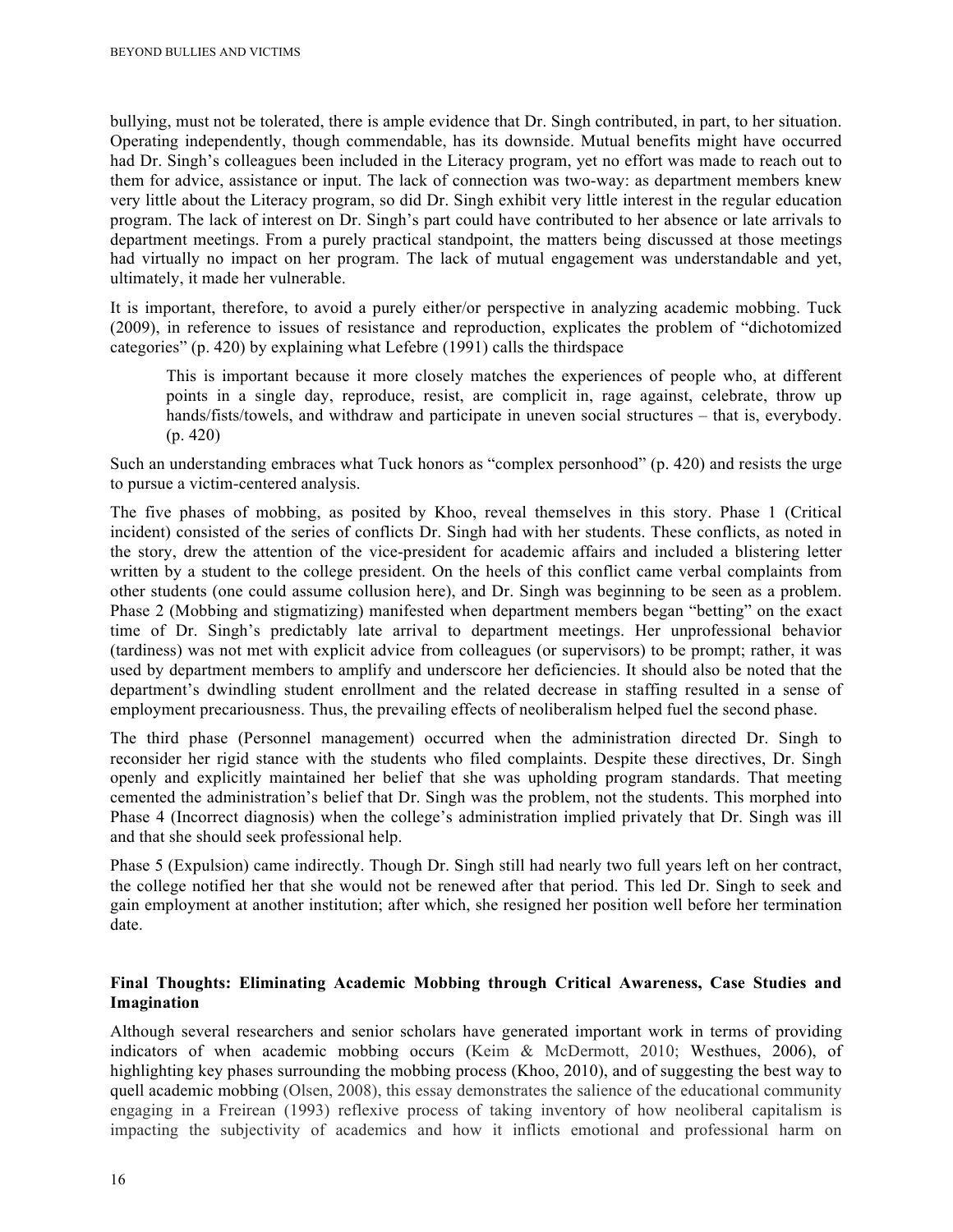bullying, must not be tolerated, there is ample evidence that Dr. Singh contributed, in part, to her situation. Operating independently, though commendable, has its downside. Mutual benefits might have occurred had Dr. Singh's colleagues been included in the Literacy program, yet no effort was made to reach out to them for advice, assistance or input. The lack of connection was two-way: as department members knew very little about the Literacy program, so did Dr. Singh exhibit very little interest in the regular education program. The lack of interest on Dr. Singh's part could have contributed to her absence or late arrivals to department meetings. From a purely practical standpoint, the matters being discussed at those meetings had virtually no impact on her program. The lack of mutual engagement was understandable and yet, ultimately, it made her vulnerable.

It is important, therefore, to avoid a purely either/or perspective in analyzing academic mobbing. Tuck (2009), in reference to issues of resistance and reproduction, explicates the problem of "dichotomized categories" (p. 420) by explaining what Lefebre (1991) calls the thirdspace

This is important because it more closely matches the experiences of people who, at different points in a single day, reproduce, resist, are complicit in, rage against, celebrate, throw up hands/fists/towels, and withdraw and participate in uneven social structures – that is, everybody. (p. 420)

Such an understanding embraces what Tuck honors as "complex personhood" (p. 420) and resists the urge to pursue a victim-centered analysis.

The five phases of mobbing, as posited by Khoo, reveal themselves in this story. Phase 1 (Critical incident) consisted of the series of conflicts Dr. Singh had with her students. These conflicts, as noted in the story, drew the attention of the vice-president for academic affairs and included a blistering letter written by a student to the college president. On the heels of this conflict came verbal complaints from other students (one could assume collusion here), and Dr. Singh was beginning to be seen as a problem. Phase 2 (Mobbing and stigmatizing) manifested when department members began "betting" on the exact time of Dr. Singh's predictably late arrival to department meetings. Her unprofessional behavior (tardiness) was not met with explicit advice from colleagues (or supervisors) to be prompt; rather, it was used by department members to amplify and underscore her deficiencies. It should also be noted that the department's dwindling student enrollment and the related decrease in staffing resulted in a sense of employment precariousness. Thus, the prevailing effects of neoliberalism helped fuel the second phase.

The third phase (Personnel management) occurred when the administration directed Dr. Singh to reconsider her rigid stance with the students who filed complaints. Despite these directives, Dr. Singh openly and explicitly maintained her belief that she was upholding program standards. That meeting cemented the administration's belief that Dr. Singh was the problem, not the students. This morphed into Phase 4 (Incorrect diagnosis) when the college's administration implied privately that Dr. Singh was ill and that she should seek professional help.

Phase 5 (Expulsion) came indirectly. Though Dr. Singh still had nearly two full years left on her contract, the college notified her that she would not be renewed after that period. This led Dr. Singh to seek and gain employment at another institution; after which, she resigned her position well before her termination date.

### **Final Thoughts: Eliminating Academic Mobbing through Critical Awareness, Case Studies and Imagination**

Although several researchers and senior scholars have generated important work in terms of providing indicators of when academic mobbing occurs (Keim & McDermott, 2010; Westhues, 2006), of highlighting key phases surrounding the mobbing process (Khoo, 2010), and of suggesting the best way to quell academic mobbing (Olsen, 2008), this essay demonstrates the salience of the educational community engaging in a Freirean (1993) reflexive process of taking inventory of how neoliberal capitalism is impacting the subjectivity of academics and how it inflicts emotional and professional harm on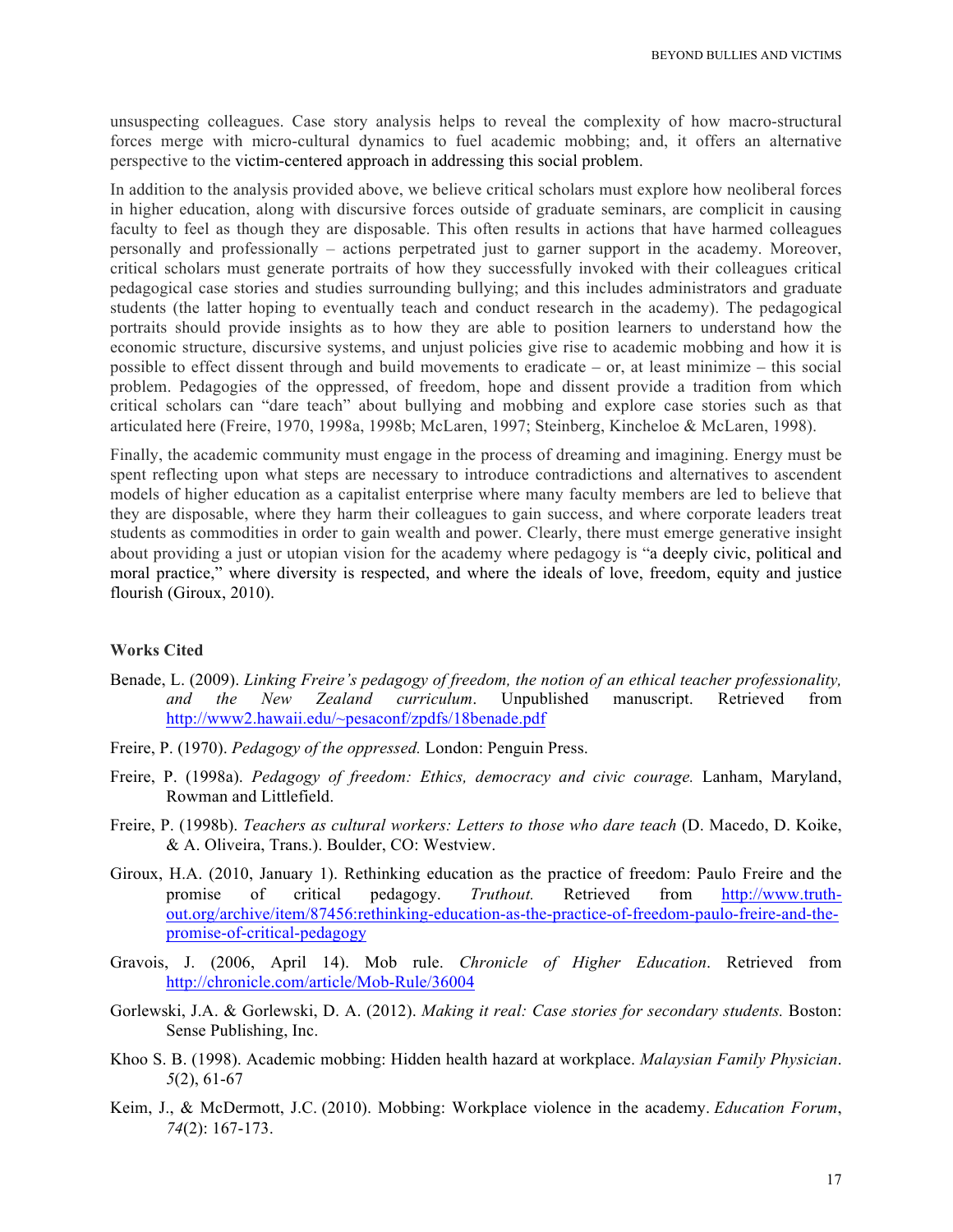unsuspecting colleagues. Case story analysis helps to reveal the complexity of how macro-structural forces merge with micro-cultural dynamics to fuel academic mobbing; and, it offers an alternative perspective to the victim-centered approach in addressing this social problem.

In addition to the analysis provided above, we believe critical scholars must explore how neoliberal forces in higher education, along with discursive forces outside of graduate seminars, are complicit in causing faculty to feel as though they are disposable. This often results in actions that have harmed colleagues personally and professionally – actions perpetrated just to garner support in the academy. Moreover, critical scholars must generate portraits of how they successfully invoked with their colleagues critical pedagogical case stories and studies surrounding bullying; and this includes administrators and graduate students (the latter hoping to eventually teach and conduct research in the academy). The pedagogical portraits should provide insights as to how they are able to position learners to understand how the economic structure, discursive systems, and unjust policies give rise to academic mobbing and how it is possible to effect dissent through and build movements to eradicate – or, at least minimize – this social problem. Pedagogies of the oppressed, of freedom, hope and dissent provide a tradition from which critical scholars can "dare teach" about bullying and mobbing and explore case stories such as that articulated here (Freire, 1970, 1998a, 1998b; McLaren, 1997; Steinberg, Kincheloe & McLaren, 1998).

Finally, the academic community must engage in the process of dreaming and imagining. Energy must be spent reflecting upon what steps are necessary to introduce contradictions and alternatives to ascendent models of higher education as a capitalist enterprise where many faculty members are led to believe that they are disposable, where they harm their colleagues to gain success, and where corporate leaders treat students as commodities in order to gain wealth and power. Clearly, there must emerge generative insight about providing a just or utopian vision for the academy where pedagogy is "a deeply civic, political and moral practice," where diversity is respected, and where the ideals of love, freedom, equity and justice flourish (Giroux, 2010).

### **Works Cited**

- Benade, L. (2009). *Linking Freire's pedagogy of freedom, the notion of an ethical teacher professionality, and the New Zealand curriculum*. Unpublished manuscript. Retrieved from http://www2.hawaii.edu/~pesaconf/zpdfs/18benade.pdf
- Freire, P. (1970). *Pedagogy of the oppressed.* London: Penguin Press.
- Freire, P. (1998a). *Pedagogy of freedom: Ethics, democracy and civic courage.* Lanham, Maryland, Rowman and Littlefield.
- Freire, P. (1998b). *Teachers as cultural workers: Letters to those who dare teach* (D. Macedo, D. Koike, & A. Oliveira, Trans.). Boulder, CO: Westview.
- Giroux, H.A. (2010, January 1). Rethinking education as the practice of freedom: Paulo Freire and the promise of critical pedagogy. *Truthout.* Retrieved from http://www.truthout.org/archive/item/87456:rethinking-education-as-the-practice-of-freedom-paulo-freire-and-thepromise-of-critical-pedagogy
- Gravois, J. (2006, April 14). Mob rule. *Chronicle of Higher Education*. Retrieved from http://chronicle.com/article/Mob-Rule/36004
- Gorlewski, J.A. & Gorlewski, D. A. (2012). *Making it real: Case stories for secondary students.* Boston: Sense Publishing, Inc.
- Khoo S. B. (1998). Academic mobbing: Hidden health hazard at workplace. *Malaysian Family Physician*. *5*(2), 61-67
- Keim, J., & McDermott, J.C. (2010). Mobbing: Workplace violence in the academy. *Education Forum*, *74*(2): 167-173.